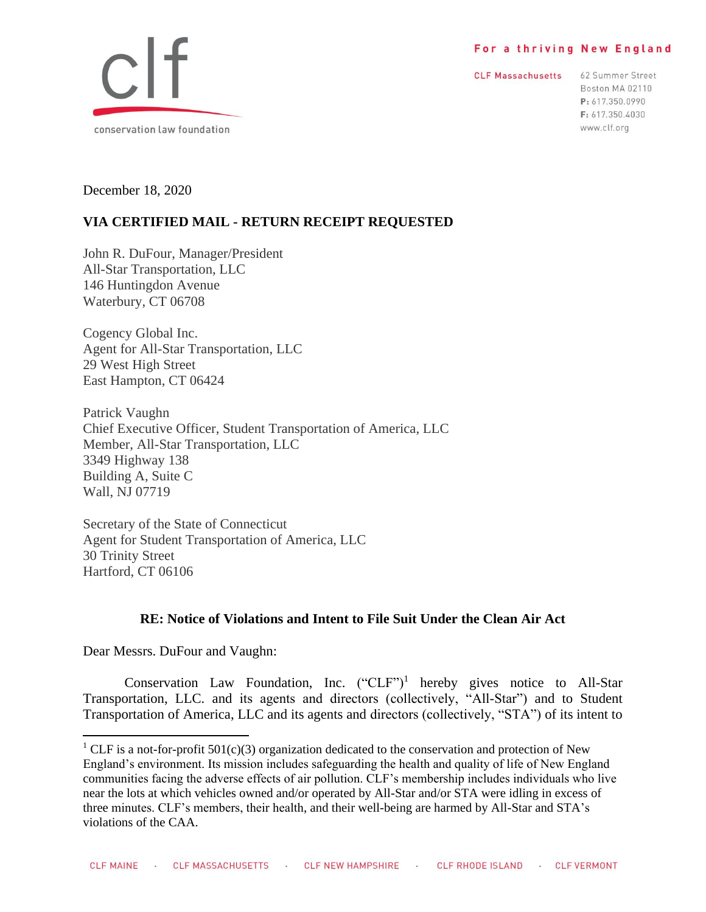#### For a thriving New England

**CLF Massachusetts** 

62 Summer Street Boston MA 02110 P: 617.350.0990 F: 617.350.4030 www.clf.org



December 18, 2020

# **VIA CERTIFIED MAIL - RETURN RECEIPT REQUESTED**

John R. DuFour, Manager/President All-Star Transportation, LLC 146 Huntingdon Avenue Waterbury, CT 06708

Cogency Global Inc. Agent for All-Star Transportation, LLC 29 West High Street East Hampton, CT 06424

Patrick Vaughn Chief Executive Officer, Student Transportation of America, LLC Member, All-Star Transportation, LLC 3349 Highway 138 Building A, Suite C Wall, NJ 07719

Secretary of the State of Connecticut Agent for Student Transportation of America, LLC 30 Trinity Street Hartford, CT 06106

## **RE: Notice of Violations and Intent to File Suit Under the Clean Air Act**

Dear Messrs. DuFour and Vaughn:

Conservation Law Foundation, Inc.  $({}^{\circ}CLF^{\prime})^1$  hereby gives notice to All-Star Transportation, LLC. and its agents and directors (collectively, "All-Star") and to Student Transportation of America, LLC and its agents and directors (collectively, "STA") of its intent to

<sup>&</sup>lt;sup>1</sup> CLF is a not-for-profit 501(c)(3) organization dedicated to the conservation and protection of New England's environment. Its mission includes safeguarding the health and quality of life of New England communities facing the adverse effects of air pollution. CLF's membership includes individuals who live near the lots at which vehicles owned and/or operated by All-Star and/or STA were idling in excess of three minutes. CLF's members, their health, and their well-being are harmed by All-Star and STA's violations of the CAA.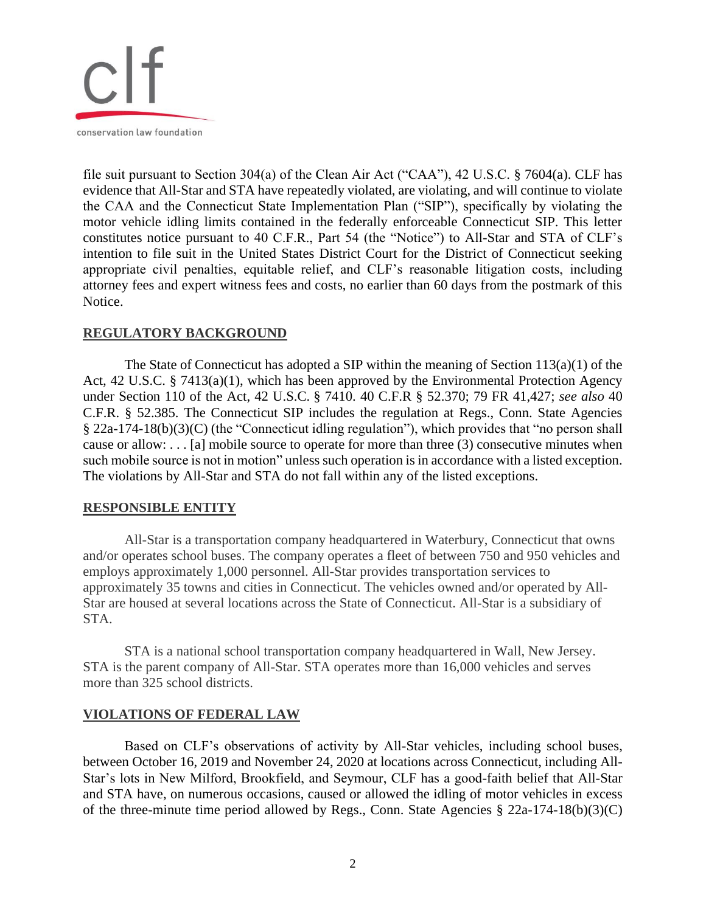

file suit pursuant to Section 304(a) of the Clean Air Act ("CAA"), 42 U.S.C. § 7604(a). CLF has evidence that All-Star and STA have repeatedly violated, are violating, and will continue to violate the CAA and the Connecticut State Implementation Plan ("SIP"), specifically by violating the motor vehicle idling limits contained in the federally enforceable Connecticut SIP. This letter constitutes notice pursuant to 40 C.F.R., Part 54 (the "Notice") to All-Star and STA of CLF's intention to file suit in the United States District Court for the District of Connecticut seeking appropriate civil penalties, equitable relief, and CLF's reasonable litigation costs, including attorney fees and expert witness fees and costs, no earlier than 60 days from the postmark of this Notice.

## **REGULATORY BACKGROUND**

The State of Connecticut has adopted a SIP within the meaning of Section  $113(a)(1)$  of the Act, 42 U.S.C. § 7413(a)(1), which has been approved by the Environmental Protection Agency under Section 110 of the Act, 42 U.S.C. § 7410. 40 C.F.R § 52.370; 79 FR 41,427; *see also* 40 C.F.R. § 52.385. The Connecticut SIP includes the regulation at Regs., Conn. State Agencies § 22a-174-18(b)(3)(C) (the "Connecticut idling regulation"), which provides that "no person shall cause or allow: . . . [a] mobile source to operate for more than three (3) consecutive minutes when such mobile source is not in motion" unless such operation is in accordance with a listed exception. The violations by All-Star and STA do not fall within any of the listed exceptions.

## **RESPONSIBLE ENTITY**

All-Star is a transportation company headquartered in Waterbury, Connecticut that owns and/or operates school buses. The company operates a fleet of between 750 and 950 vehicles and employs approximately 1,000 personnel. All-Star provides transportation services to approximately 35 towns and cities in Connecticut. The vehicles owned and/or operated by All-Star are housed at several locations across the State of Connecticut. All-Star is a subsidiary of STA.

STA is a national school transportation company headquartered in Wall, New Jersey. STA is the parent company of All-Star. STA operates more than 16,000 vehicles and serves more than 325 school districts.

## **VIOLATIONS OF FEDERAL LAW**

Based on CLF's observations of activity by All-Star vehicles, including school buses, between October 16, 2019 and November 24, 2020 at locations across Connecticut, including All-Star's lots in New Milford, Brookfield, and Seymour, CLF has a good-faith belief that All-Star and STA have, on numerous occasions, caused or allowed the idling of motor vehicles in excess of the three-minute time period allowed by Regs., Conn. State Agencies § 22a-174-18(b)(3)(C)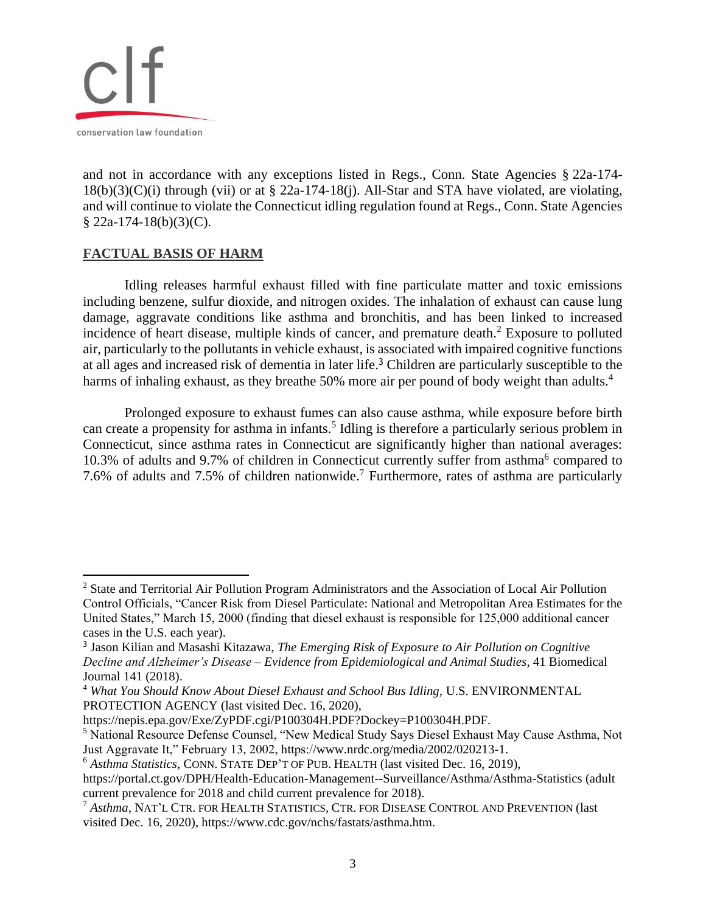

and not in accordance with any exceptions listed in Regs., Conn. State Agencies § 22a-174- 18(b)(3)(C)(i) through (vii) or at § 22a-174-18(j). All-Star and STA have violated, are violating, and will continue to violate the Connecticut idling regulation found at Regs., Conn. State Agencies  $$22a-174-18(b)(3)(C).$ 

#### **FACTUAL BASIS OF HARM**

Idling releases harmful exhaust filled with fine particulate matter and toxic emissions including benzene, sulfur dioxide, and nitrogen oxides. The inhalation of exhaust can cause lung damage, aggravate conditions like asthma and bronchitis, and has been linked to increased incidence of heart disease, multiple kinds of cancer, and premature death.<sup>2</sup> Exposure to polluted air, particularly to the pollutants in vehicle exhaust, is associated with impaired cognitive functions at all ages and increased risk of dementia in later life.<sup>3</sup> Children are particularly susceptible to the harms of inhaling exhaust, as they breathe 50% more air per pound of body weight than adults.<sup>4</sup>

Prolonged exposure to exhaust fumes can also cause asthma, while exposure before birth can create a propensity for asthma in infants.<sup>5</sup> Idling is therefore a particularly serious problem in Connecticut, since asthma rates in Connecticut are significantly higher than national averages: 10.3% of adults and 9.7% of children in Connecticut currently suffer from asthma<sup>6</sup> compared to 7.6% of adults and 7.5% of children nationwide. <sup>7</sup> Furthermore, rates of asthma are particularly

<sup>2</sup> State and Territorial Air Pollution Program Administrators and the Association of Local Air Pollution Control Officials, "Cancer Risk from Diesel Particulate: National and Metropolitan Area Estimates for the United States," March 15, 2000 (finding that diesel exhaust is responsible for 125,000 additional cancer cases in the U.S. each year).

<sup>3</sup> Jason Kilian and Masashi Kitazawa, *The Emerging Risk of Exposure to Air Pollution on Cognitive Decline and Alzheimer's Disease – Evidence from Epidemiological and Animal Studies*, 41 Biomedical Journal 141 (2018).

<sup>&</sup>lt;sup>4</sup> What You Should Know About Diesel Exhaust and School Bus Idling, U.S. ENVIRONMENTAL PROTECTION AGENCY (last visited Dec. 16, 2020),

https://nepis.epa.gov/Exe/ZyPDF.cgi/P100304H.PDF?Dockey=P100304H.PDF.

<sup>5</sup> National Resource Defense Counsel, "New Medical Study Says Diesel Exhaust May Cause Asthma, Not Just Aggravate It," February 13, 2002, https://www.nrdc.org/media/2002/020213-1.

<sup>6</sup> *Asthma Statistics*, CONN. STATE DEP'T OF PUB. HEALTH (last visited Dec. 16, 2019),

https://portal.ct.gov/DPH/Health-Education-Management--Surveillance/Asthma/Asthma-Statistics (adult current prevalence for 2018 and child current prevalence for 2018).

<sup>7</sup> *Asthma*, NAT'L CTR. FOR HEALTH STATISTICS, CTR. FOR DISEASE CONTROL AND PREVENTION (last visited Dec. 16, 2020), https://www.cdc.gov/nchs/fastats/asthma.htm.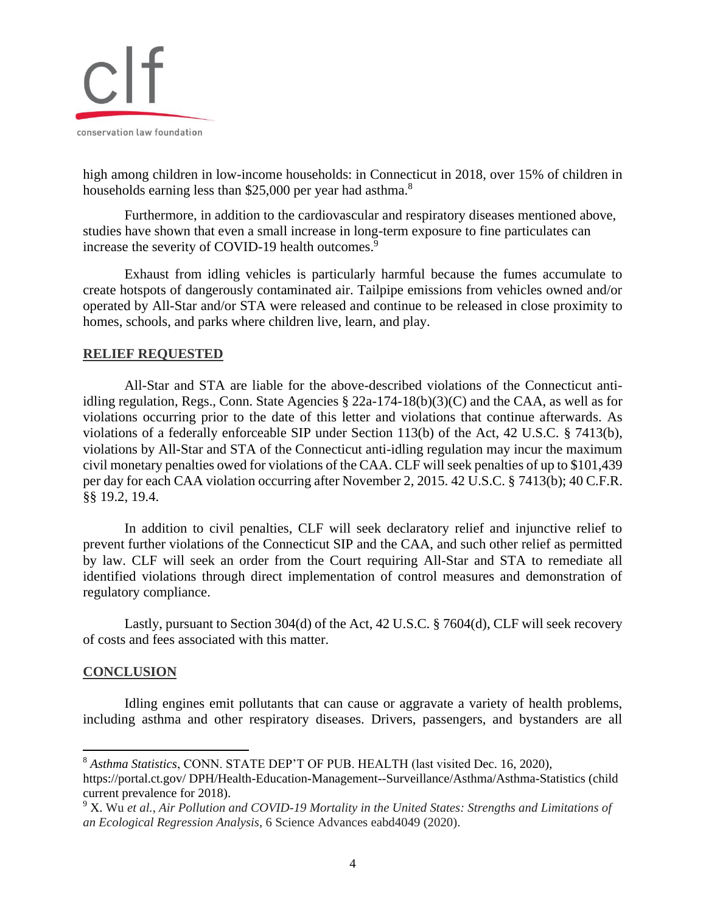

high among children in low-income households: in Connecticut in 2018, over 15% of children in households earning less than \$25,000 per year had asthma.<sup>8</sup>

Furthermore, in addition to the cardiovascular and respiratory diseases mentioned above, studies have shown that even a small increase in long-term exposure to fine particulates can increase the severity of COVID-19 health outcomes.<sup>9</sup>

Exhaust from idling vehicles is particularly harmful because the fumes accumulate to create hotspots of dangerously contaminated air. Tailpipe emissions from vehicles owned and/or operated by All-Star and/or STA were released and continue to be released in close proximity to homes, schools, and parks where children live, learn, and play.

#### **RELIEF REQUESTED**

All-Star and STA are liable for the above-described violations of the Connecticut antiidling regulation, Regs., Conn. State Agencies § 22a-174-18(b)(3)(C) and the CAA, as well as for violations occurring prior to the date of this letter and violations that continue afterwards. As violations of a federally enforceable SIP under Section 113(b) of the Act, 42 U.S.C. § 7413(b), violations by All-Star and STA of the Connecticut anti-idling regulation may incur the maximum civil monetary penalties owed for violations of the CAA. CLF will seek penalties of up to \$101,439 per day for each CAA violation occurring after November 2, 2015. 42 U.S.C. § 7413(b); 40 C.F.R. §§ 19.2, 19.4.

In addition to civil penalties, CLF will seek declaratory relief and injunctive relief to prevent further violations of the Connecticut SIP and the CAA, and such other relief as permitted by law. CLF will seek an order from the Court requiring All-Star and STA to remediate all identified violations through direct implementation of control measures and demonstration of regulatory compliance.

Lastly, pursuant to Section 304(d) of the Act, 42 U.S.C. § 7604(d), CLF will seek recovery of costs and fees associated with this matter.

#### **CONCLUSION**

Idling engines emit pollutants that can cause or aggravate a variety of health problems, including asthma and other respiratory diseases. Drivers, passengers, and bystanders are all

<sup>8</sup> *Asthma Statistics*, CONN. STATE DEP'T OF PUB. HEALTH (last visited Dec. 16, 2020),

https://portal.ct.gov/ DPH/Health-Education-Management--Surveillance/Asthma/Asthma-Statistics (child current prevalence for 2018).

<sup>9</sup> X. Wu *et al.*, *Air Pollution and COVID-19 Mortality in the United States: Strengths and Limitations of an Ecological Regression Analysis*, 6 Science Advances eabd4049 (2020).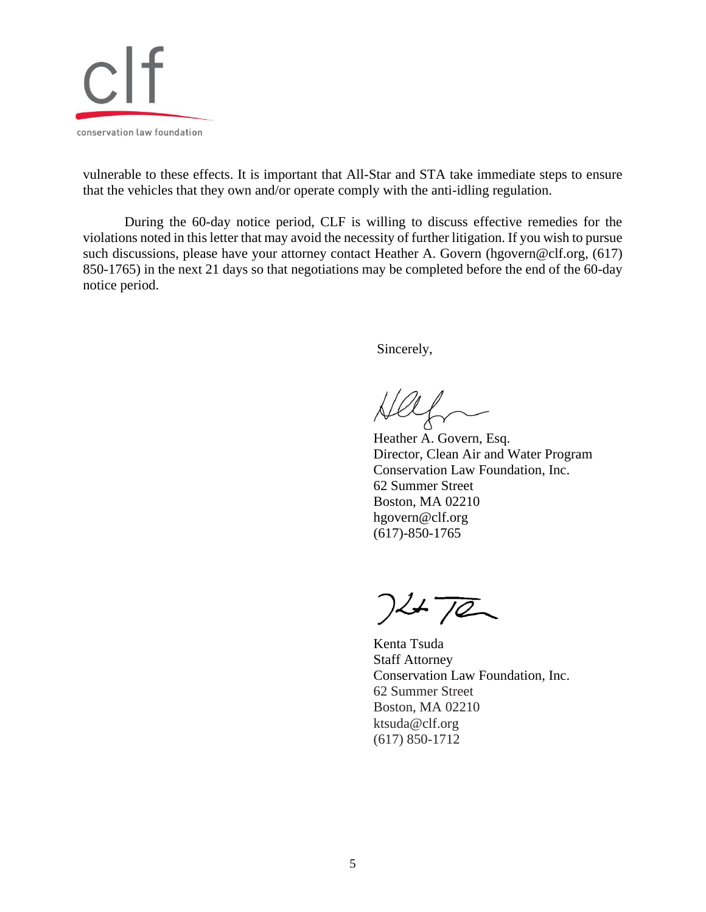

vulnerable to these effects. It is important that All-Star and STA take immediate steps to ensure that the vehicles that they own and/or operate comply with the anti-idling regulation.

During the 60-day notice period, CLF is willing to discuss effective remedies for the violations noted in this letter that may avoid the necessity of further litigation. If you wish to pursue such discussions, please have your attorney contact Heather A. Govern (hgovern@clf.org, (617) 850-1765) in the next 21 days so that negotiations may be completed before the end of the 60-day notice period.

Sincerely,

Heather A. Govern, Esq. Director, Clean Air and Water Program Conservation Law Foundation, Inc. 62 Summer Street Boston, MA 02210 hgovern@clf.org (617)-850-1765

 $7472$ 

Kenta Tsuda Staff Attorney Conservation Law Foundation, Inc. 62 Summer Street Boston, MA 02210 ktsuda@clf.org (617) 850-1712